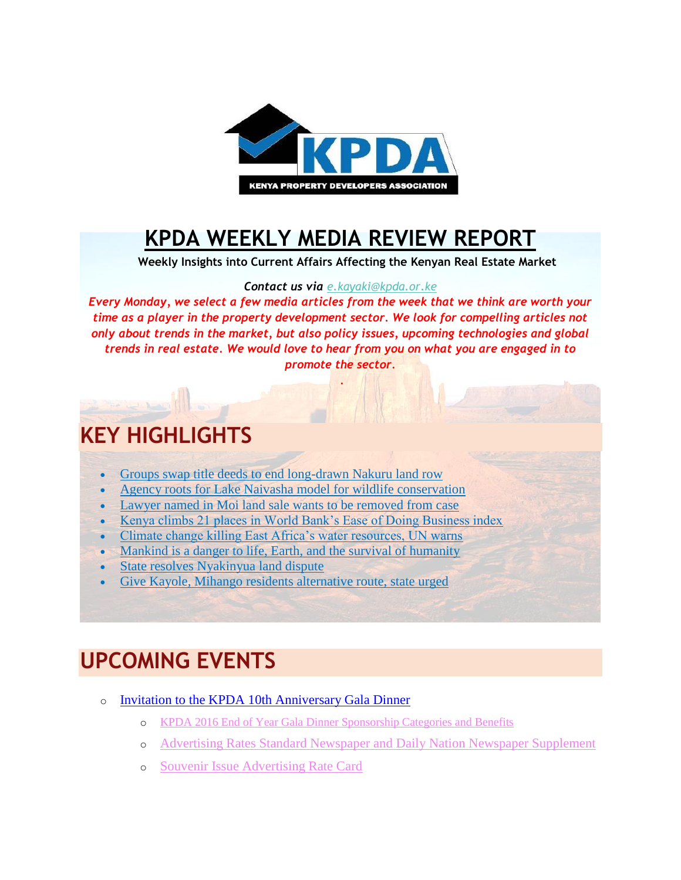

## **[KPDA WEEKLY MEDIA REVIEW REPORT](http://kpda.or.ke/)**

 **Weekly Insights into Current Affairs Affecting the Kenyan Real Estate Market**

#### *Contact us via [e.kayaki@kpda.or](mailto:e.kayaki@kpda.or.ke).ke*

*Every Monday, we select a few media articles from the week that we think are worth your time as a player in the property development sector. We look for compelling articles not only about trends in the market, but also policy issues, upcoming technologies and global trends in real estate. We would love to hear from you on what you are engaged in to promote the sector.*

.

#### **KEY HIGHLIGHTS**

- [Groups swap title deeds to end long-drawn Nakuru land row](http://www.nation.co.ke/counties/nakuru/Groups-swap-titles/1183314-3431984-51b3npz/index.html)
- [Agency roots for Lake Naivasha model for wildlife conservation](http://www.nation.co.ke/news/Agency-roots-for-Lake-Naivasha-model-for-wildlife-conservation/1056-3432702-2dqnrrz/index.html)
- [Lawyer named in Moi land sale wants to be removed from case](http://www.nation.co.ke/news/Lawyer-Moi-land-sale-wants-removed-from-case/1056-3431564-135fvg3/index.html)
- [Kenya climbs 21 places in World Bank's Ease of Doing Business index](http://www.nation.co.ke/business/Kenya-up-21-places-in-World-Bank-s-Ease-of-Doing-Business/996-3430768-xtjps6z/index.html)
- [Climate change killing East Africa's water resources, UN warns](http://www.nation.co.ke/news/Climate-change-killing-water-resources/1056-3423570-uj0mob/index.html)
- [Mankind is a danger to life, Earth, and the survival of humanity](http://www.nation.co.ke/oped/Opinion/Man-is-a-danger-to-the-survival-of-humanity-/440808-3432708-spbv6/index.html)
- [State resolves Nyakinyua land dispute](http://www.mediamaxnetwork.co.ke/news/267470/state-resolves-nyakinyua-land-dispute/)
- [Give Kayole, Mihango residents alternative route, state urged](http://www.the-star.co.ke/news/2016/10/28/give-kayole-mihango-residents-alternative-route-state-urged_c1445118)

### **UPCOMING EVENTS**

- o [Invitation to the KPDA 10th Anniversary Gala Dinner](https://gallery.mailchimp.com/7bca7a3b8f6eed9f612fdccdd/files/KPDA_10th_Year_Anniversary_Gala_Dinner_New_Flyer.01.pdf)
	- o [KPDA 2016 End of Year Gala Dinner Sponsorship Categories and Benefits](https://gallery.mailchimp.com/7bca7a3b8f6eed9f612fdccdd/files/KPDA_2016_End_of_Year_Gala_Dinner_Sponsorship_Categories_and_Benefits_5th_September_2016.01.pdf)
	- o [Advertising Rates Standard Newspaper and Daily Nation Newspaper Supplement](https://gallery.mailchimp.com/7bca7a3b8f6eed9f612fdccdd/files/Advertising_Rates_Standard_Newspaper_and_Daily_Nation_Newspaper_Supplement_Thursday_27th_October_2016.01.pdf)
	- o [Souvenir Issue Advertising Rate Card](https://gallery.mailchimp.com/7bca7a3b8f6eed9f612fdccdd/files/Souvenir_Issue_Advertising_Rate_Card.01.pdf)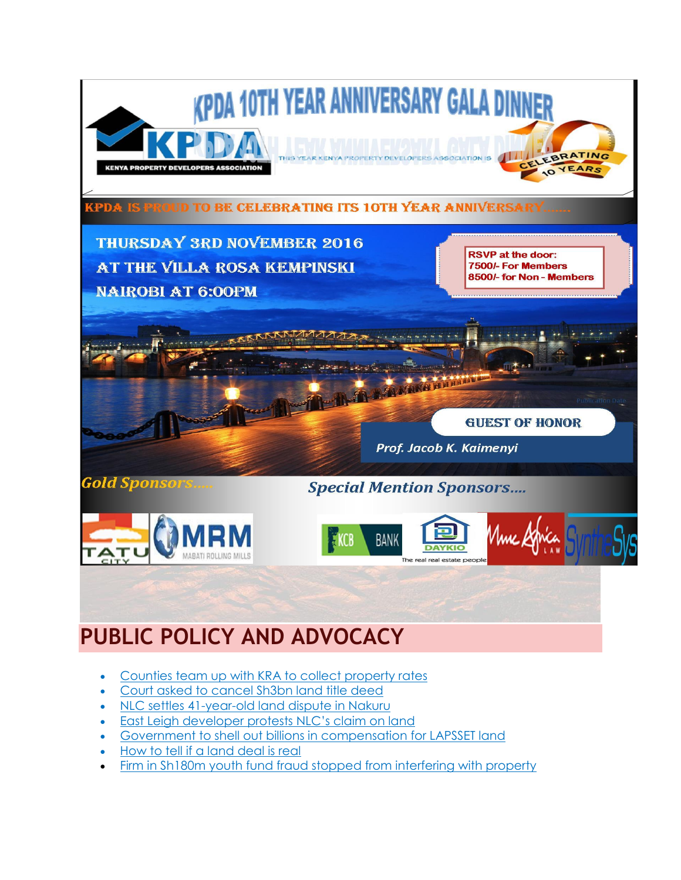

- [Counties team up with KRA to collect property rates](http://www.nation.co.ke/lifestyle/DN2/Counties-team-up-with-KRA-to-collect-property-rates/957860-3431052-tdjvyu/index.html)
- [Court asked to cancel Sh3bn land title deed](http://www.nation.co.ke/lifestyle/DN2/Court-asked-to-cancel-Sh3bn-land-title-deed/957860-3431048-apjgo8/index.html)
- [NLC settles 41-year-old land dispute in Nakuru](https://citizentv.co.ke/news/nlc-settles-41-year-old-land-dispute-in-nakuru-146734/)
- **[East Leigh developer protests NLC's claim on land](https://citizentv.co.ke/news/eastleigh-developer-protests-nlcs-claim-on-land-146757/)**
- [Government to shell out billions in compensation for LAPSSET land](http://www.nation.co.ke/lifestyle/DN2/Govt-to-shell-out-billions-in-compensation-for-LAPSSET-land/957860-3431050-i0qggyz/index.html)
- [How to tell if a land deal is real](http://www.nation.co.ke/lifestyle/DN2/How-to-tell-if-a-land-deal-is-real/957860-3431038-7d35d5/index.html)
- [Firm in Sh180m youth fund fraud stopped from interfering with property](http://www.nation.co.ke/news/youth-fund-fraud/1056-3432698-11vrt4l/index.html)